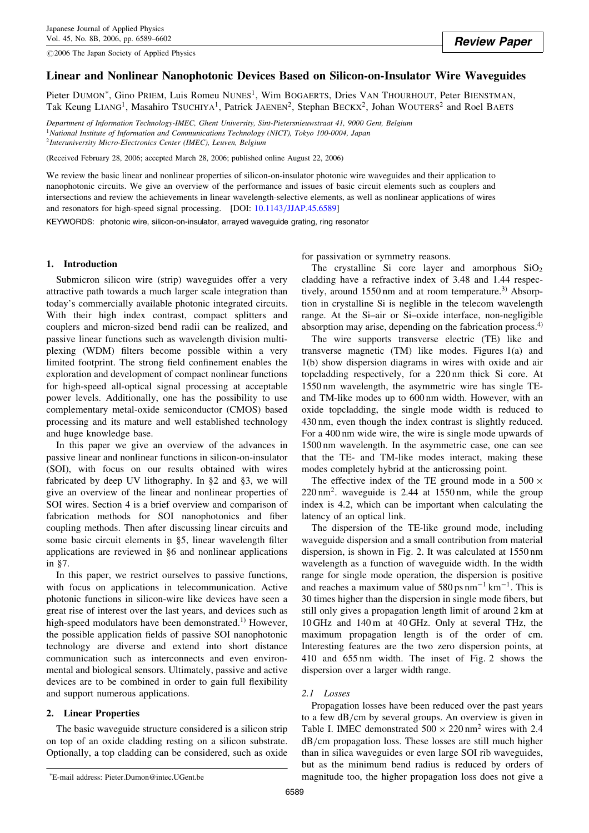$@2006$  The Japan Society of Applied Physics

# Linear and Nonlinear Nanophotonic Devices Based on Silicon-on-Insulator Wire Waveguides

Pieter DUMON<sup>\*</sup>, Gino PrIEM, Luis Romeu NUNES<sup>1</sup>, Wim BOGAERTS, Dries VAN THOURHOUT, Peter BIENSTMAN, Tak Keung LIANG<sup>1</sup>, Masahiro TSUCHIYA<sup>1</sup>, Patrick JAENEN<sup>2</sup>, Stephan BECKX<sup>2</sup>, Johan WOUTERS<sup>2</sup> and Roel BAETS

Department of Information Technology-IMEC, Ghent University, Sint-Pietersnieuwstraat 41, 9000 Gent, Belgium <sup>1</sup>National Institute of Information and Communications Technology (NICT), Tokyo 100-0004, Japan <sup>2</sup>Interuniversity Micro-Electronics Center (IMEC), Leuven, Belgium

(Received February 28, 2006; accepted March 28, 2006; published online August 22, 2006)

We review the basic linear and nonlinear properties of silicon-on-insulator photonic wire waveguides and their application to nanophotonic circuits. We give an overview of the performance and issues of basic circuit elements such as couplers and intersections and review the achievements in linear wavelength-selective elements, as well as nonlinear applications of wires and resonators for high-speed signal processing. [DOI: [10.1143/JJAP.45.6589\]](http://dx.doi.org/10.1143/JJAP.45.6589)

KEYWORDS: photonic wire, silicon-on-insulator, arrayed waveguide grating, ring resonator

## 1. Introduction

Submicron silicon wire (strip) waveguides offer a very attractive path towards a much larger scale integration than today's commercially available photonic integrated circuits. With their high index contrast, compact splitters and couplers and micron-sized bend radii can be realized, and passive linear functions such as wavelength division multiplexing (WDM) filters become possible within a very limited footprint. The strong field confinement enables the exploration and development of compact nonlinear functions for high-speed all-optical signal processing at acceptable power levels. Additionally, one has the possibility to use complementary metal-oxide semiconductor (CMOS) based processing and its mature and well established technology and huge knowledge base.

In this paper we give an overview of the advances in passive linear and nonlinear functions in silicon-on-insulator (SOI), with focus on our results obtained with wires fabricated by deep UV lithography. In §2 and §3, we will give an overview of the linear and nonlinear properties of SOI wires. Section 4 is a brief overview and comparison of fabrication methods for SOI nanophotonics and fiber coupling methods. Then after discussing linear circuits and some basic circuit elements in §5, linear wavelength filter applications are reviewed in §6 and nonlinear applications in §7.

In this paper, we restrict ourselves to passive functions, with focus on applications in telecommunication. Active photonic functions in silicon-wire like devices have seen a great rise of interest over the last years, and devices such as high-speed modulators have been demonstrated.<sup>1)</sup> However, the possible application fields of passive SOI nanophotonic technology are diverse and extend into short distance communication such as interconnects and even environmental and biological sensors. Ultimately, passive and active devices are to be combined in order to gain full flexibility and support numerous applications.

## 2. Linear Properties

The basic waveguide structure considered is a silicon strip on top of an oxide cladding resting on a silicon substrate. Optionally, a top cladding can be considered, such as oxide for passivation or symmetry reasons.

The crystalline Si core layer and amorphous  $SiO<sub>2</sub>$ cladding have a refractive index of 3.48 and 1.44 respectively, around 1550 nm and at room temperature.<sup>3)</sup> Absorption in crystalline Si is neglible in the telecom wavelength range. At the Si–air or Si–oxide interface, non-negligible absorption may arise, depending on the fabrication process.<sup>4)</sup>

The wire supports transverse electric (TE) like and transverse magnetic (TM) like modes. Figures 1(a) and 1(b) show dispersion diagrams in wires with oxide and air topcladding respectively, for a 220 nm thick Si core. At 1550 nm wavelength, the asymmetric wire has single TEand TM-like modes up to 600 nm width. However, with an oxide topcladding, the single mode width is reduced to 430 nm, even though the index contrast is slightly reduced. For a 400 nm wide wire, the wire is single mode upwards of 1500 nm wavelength. In the asymmetric case, one can see that the TE- and TM-like modes interact, making these modes completely hybrid at the anticrossing point.

The effective index of the TE ground mode in a 500  $\times$  $220 \text{ nm}^2$ . waveguide is 2.44 at 1550 nm, while the group index is 4.2, which can be important when calculating the latency of an optical link.

The dispersion of the TE-like ground mode, including waveguide dispersion and a small contribution from material dispersion, is shown in Fig. 2. It was calculated at 1550 nm wavelength as a function of waveguide width. In the width range for single mode operation, the dispersion is positive and reaches a maximum value of 580 ps  $nm^{-1}$  km<sup>-1</sup>. This is 30 times higher than the dispersion in single mode fibers, but still only gives a propagation length limit of around 2 km at 10 GHz and 140 m at 40 GHz. Only at several THz, the maximum propagation length is of the order of cm. Interesting features are the two zero dispersion points, at 410 and 655 nm width. The inset of Fig. 2 shows the dispersion over a larger width range.

### 2.1 Losses

Propagation losses have been reduced over the past years to a few dB/cm by several groups. An overview is given in Table I. IMEC demonstrated  $500 \times 220$  nm<sup>2</sup> wires with 2.4 dB/cm propagation loss. These losses are still much higher than in silica waveguides or even large SOI rib waveguides, but as the minimum bend radius is reduced by orders of magnitude too, the higher propagation loss does not give a

E-mail address: Pieter.Dumon@intec.UGent.be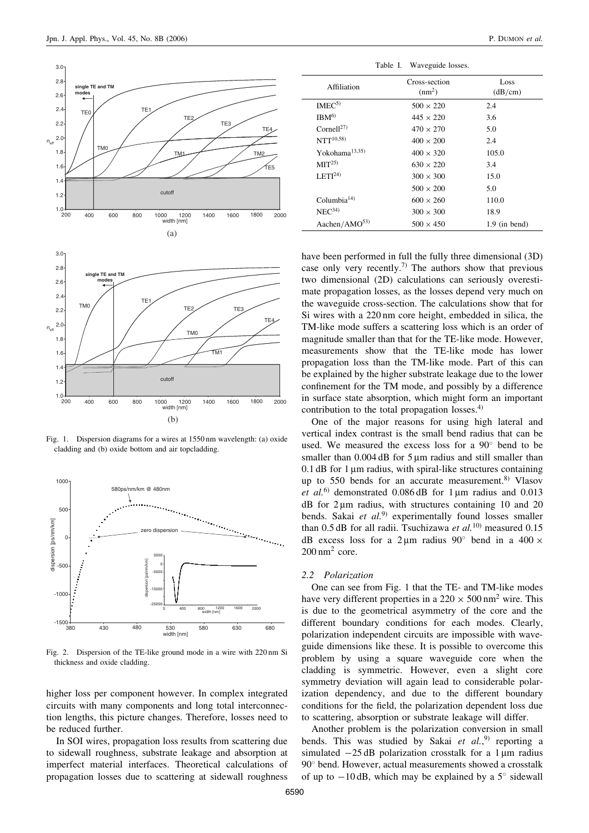3.0



Fig. 1. Dispersion diagrams for a wires at 1550 nm wavelength: (a) oxide cladding and (b) oxide bottom and air topcladding.



Fig. 2. Dispersion of the TE-like ground mode in a wire with 220 nm Si thickness and oxide cladding.

higher loss per component however. In complex integrated circuits with many components and long total interconnection lengths, this picture changes. Therefore, losses need to be reduced further.

In SOI wires, propagation loss results from scattering due to sidewall roughness, substrate leakage and absorption at imperfect material interfaces. Theoretical calculations of propagation losses due to scattering at sidewall roughness

Table I. Waveguide losses.

| Affiliation            | Cross-section<br>(nm <sup>2</sup> ) | Loss<br>(dB/cm) |
|------------------------|-------------------------------------|-----------------|
| IMEC <sup>5</sup>      | $500 \times 220$                    | 2.4             |
| IBM <sup>6</sup>       | $445 \times 220$                    | 3.6             |
| Cornell <sup>27)</sup> | $470 \times 270$                    | 5.0             |
| $NTT^{10,58}$          | $400 \times 200$                    | 2.4             |
| Yokohama $^{13,35)}$   | $400 \times 320$                    | 105.0           |
| MIT <sup>25</sup> )    | $630 \times 220$                    | 3.4             |
| LETI <sup>24</sup>     | $300 \times 300$                    | 15.0            |
|                        | $500 \times 200$                    | 5.0             |
| Columbia $14$ )        | $600 \times 260$                    | 110.0           |
| NEC <sup>34</sup>      | $300 \times 300$                    | 18.9            |
| Aachen/AMO $^{53)}$    | $500 \times 450$                    | $1.9$ (in bend) |

have been performed in full the fully three dimensional (3D) case only very recently.<sup>7)</sup> The authors show that previous two dimensional (2D) calculations can seriously overestimate propagation losses, as the losses depend very much on the waveguide cross-section. The calculations show that for Si wires with a 220 nm core height, embedded in silica, the TM-like mode suffers a scattering loss which is an order of magnitude smaller than that for the TE-like mode. However, measurements show that the TE-like mode has lower propagation loss than the TM-like mode. Part of this can be explained by the higher substrate leakage due to the lower confinement for the TM mode, and possibly by a difference in surface state absorption, which might form an important contribution to the total propagation losses. $4$ )

One of the major reasons for using high lateral and vertical index contrast is the small bend radius that can be used. We measured the excess loss for a  $90^{\circ}$  bend to be smaller than  $0.004$  dB for  $5 \mu m$  radius and still smaller than  $0.1$  dB for 1  $\mu$ m radius, with spiral-like structures containing up to 550 bends for an accurate measurement. $8$ <sup>y</sup> Vlasov et al.<sup>6)</sup> demonstrated  $0.086$  dB for 1 µm radius and 0.013  $dB$  for 2 um radius, with structures containing 10 and 20 bends. Sakai et  $al^{(9)}$  experimentally found losses smaller than 0.5 dB for all radii. Tsuchizawa et al.<sup>10)</sup> measured 0.15 dB excess loss for a 2  $\mu$ m radius 90° bend in a 400  $\times$  $200 \text{ nm}^2$  core.

## 2.2 Polarization

One can see from Fig. 1 that the TE- and TM-like modes have very different properties in a  $220 \times 500$  nm<sup>2</sup> wire. This is due to the geometrical asymmetry of the core and the different boundary conditions for each modes. Clearly, polarization independent circuits are impossible with waveguide dimensions like these. It is possible to overcome this problem by using a square waveguide core when the cladding is symmetric. However, even a slight core symmetry deviation will again lead to considerable polarization dependency, and due to the different boundary conditions for the field, the polarization dependent loss due to scattering, absorption or substrate leakage will differ.

Another problem is the polarization conversion in small bends. This was studied by Sakai et  $al.^{9}$  reporting a simulated  $-25$  dB polarization crosstalk for a 1 um radius 90° bend. However, actual measurements showed a crosstalk of up to  $-10$  dB, which may be explained by a  $5^{\circ}$  sidewall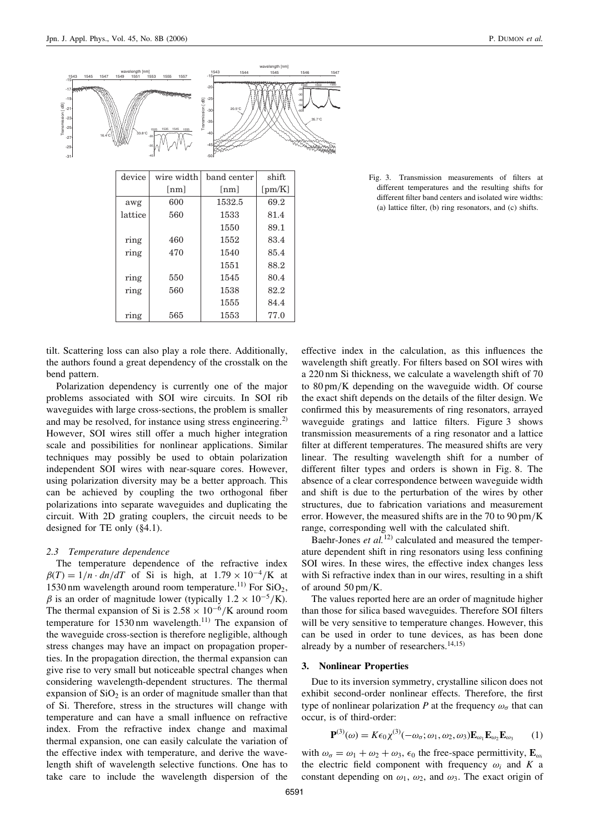

ring 470 1540 85.4

ring | 550 | 1545 | 80.4 ring | 560 | 1538 | 82.2

ring 565 1553 77.0

1551 88.2

1555 84.4

Fig. 3. Transmission measurements of filters at different temperatures and the resulting shifts for different filter band centers and isolated wire widths: (a) lattice filter, (b) ring resonators, and (c) shifts.

tilt. Scattering loss can also play a role there. Additionally, the authors found a great dependency of the crosstalk on the bend pattern.

Polarization dependency is currently one of the major problems associated with SOI wire circuits. In SOI rib waveguides with large cross-sections, the problem is smaller and may be resolved, for instance using stress engineering.<sup>2)</sup> However, SOI wires still offer a much higher integration scale and possibilities for nonlinear applications. Similar techniques may possibly be used to obtain polarization independent SOI wires with near-square cores. However, using polarization diversity may be a better approach. This can be achieved by coupling the two orthogonal fiber polarizations into separate waveguides and duplicating the circuit. With 2D grating couplers, the circuit needs to be designed for TE only (§4.1).

#### 2.3 Temperature dependence

The temperature dependence of the refractive index  $\beta(T) = 1/n \cdot dn/dT$  of Si is high, at  $1.79 \times 10^{-4}/K$  at 1530 nm wavelength around room temperature.<sup>11)</sup> For  $SiO<sub>2</sub>$ ,  $\beta$  is an order of magnitude lower (typically  $1.2 \times 10^{-5}$ /K). The thermal expansion of Si is  $2.58 \times 10^{-6}$ /K around room temperature for  $1530 \text{ nm}$  wavelength.<sup>11)</sup> The expansion of the waveguide cross-section is therefore negligible, although stress changes may have an impact on propagation properties. In the propagation direction, the thermal expansion can give rise to very small but noticeable spectral changes when considering wavelength-dependent structures. The thermal expansion of  $SiO<sub>2</sub>$  is an order of magnitude smaller than that of Si. Therefore, stress in the structures will change with temperature and can have a small influence on refractive index. From the refractive index change and maximal thermal expansion, one can easily calculate the variation of the effective index with temperature, and derive the wavelength shift of wavelength selective functions. One has to take care to include the wavelength dispersion of the

effective index in the calculation, as this influences the wavelength shift greatly. For filters based on SOI wires with a 220 nm Si thickness, we calculate a wavelength shift of 70 to 80 pm/K depending on the waveguide width. Of course the exact shift depends on the details of the filter design. We confirmed this by measurements of ring resonators, arrayed waveguide gratings and lattice filters. Figure 3 shows transmission measurements of a ring resonator and a lattice filter at different temperatures. The measured shifts are very linear. The resulting wavelength shift for a number of different filter types and orders is shown in Fig. 8. The absence of a clear correspondence between waveguide width and shift is due to the perturbation of the wires by other structures, due to fabrication variations and measurement error. However, the measured shifts are in the 70 to 90 pm/K range, corresponding well with the calculated shift.

Baehr-Jones *et al.*<sup>12)</sup> calculated and measured the temperature dependent shift in ring resonators using less confining SOI wires. In these wires, the effective index changes less with Si refractive index than in our wires, resulting in a shift of around 50 pm/K.

The values reported here are an order of magnitude higher than those for silica based waveguides. Therefore SOI filters will be very sensitive to temperature changes. However, this can be used in order to tune devices, as has been done already by a number of researchers.  $14,15$ )

## 3. Nonlinear Properties

Due to its inversion symmetry, crystalline silicon does not exhibit second-order nonlinear effects. Therefore, the first type of nonlinear polarization P at the frequency  $\omega_{\sigma}$  that can occur, is of third-order:

$$
\mathbf{P}^{(3)}(\omega) = K\epsilon_0 \chi^{(3)}(-\omega_\sigma; \omega_1, \omega_2, \omega_3) \mathbf{E}_{\omega_1} \mathbf{E}_{\omega_2} \mathbf{E}_{\omega_3} \qquad (1)
$$

with  $\omega_{\sigma} = \omega_1 + \omega_2 + \omega_3$ ,  $\epsilon_0$  the free-space permittivity,  $\mathbf{E}_{\omega_i}$ the electric field component with frequency  $\omega_i$  and K a constant depending on  $\omega_1$ ,  $\omega_2$ , and  $\omega_3$ . The exact origin of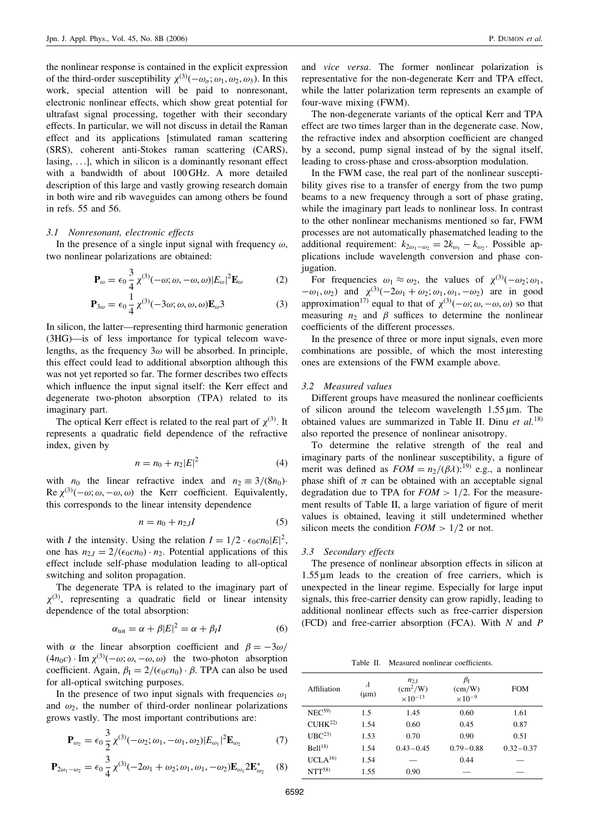the nonlinear response is contained in the explicit expression of the third-order susceptibility  $\chi^{(3)}(-\omega_{\sigma}; \omega_1, \omega_2, \omega_3)$ . In this work, special attention will be paid to nonresonant, electronic nonlinear effects, which show great potential for ultrafast signal processing, together with their secondary effects. In particular, we will not discuss in detail the Raman effect and its applications [stimulated raman scattering (SRS), coherent anti-Stokes raman scattering (CARS), lasing, ...], which in silicon is a dominantly resonant effect with a bandwidth of about 100 GHz. A more detailed description of this large and vastly growing research domain in both wire and rib waveguides can among others be found in refs. 55 and 56.

## 3.1 Nonresonant, electronic effects

In the presence of a single input signal with frequency  $\omega$ , two nonlinear polarizations are obtained:

$$
\mathbf{P}_{\omega} = \epsilon_0 \frac{3}{4} \chi^{(3)}(-\omega; \omega, -\omega, \omega) |E_{\omega}|^2 \mathbf{E}_{\omega}
$$
 (2)

$$
\mathbf{P}_{3\omega} = \epsilon_0 \frac{1}{4} \chi^{(3)}(-3\omega; \omega, \omega, \omega) \mathbf{E}_{\omega} 3 \tag{3}
$$

In silicon, the latter—representing third harmonic generation (3HG)—is of less importance for typical telecom wavelengths, as the frequency  $3\omega$  will be absorbed. In principle, this effect could lead to additional absorption although this was not yet reported so far. The former describes two effects which influence the input signal itself: the Kerr effect and degenerate two-photon absorption (TPA) related to its imaginary part.

The optical Kerr effect is related to the real part of  $\chi^{(3)}$ . It represents a quadratic field dependence of the refractive index, given by

$$
n = n_0 + n_2 |E|^2
$$
 (4)

with  $n_0$  the linear refractive index and  $n_2 \equiv 3/(8n_0)$ Re  $\chi^{(3)}(-\omega; \omega, -\omega, \omega)$  the Kerr coefficient. Equivalently, this corresponds to the linear intensity dependence

$$
n = n_0 + n_{2,I}I \tag{5}
$$

with *I* the intensity. Using the relation  $I = 1/2 \cdot \epsilon_0 cn_0|E|^2$ , one has  $n_{2I} = 2/(\epsilon_0 c n_0) \cdot n_2$ . Potential applications of this effect include self-phase modulation leading to all-optical switching and soliton propagation.

The degenerate TPA is related to the imaginary part of  $\chi^{(3)}$ , representing a quadratic field or linear intensity dependence of the total absorption:

$$
\alpha_{\text{tot}} = \alpha + \beta |E|^2 = \alpha + \beta_I I \tag{6}
$$

with  $\alpha$  the linear absorption coefficient and  $\beta = -3\omega/$  $(4n_0c) \cdot \text{Im } \chi^{(3)}(-\omega; \omega, -\omega, \omega)$  the two-photon absorption coefficient. Again,  $\beta_I = 2/(\epsilon_0 c n_0) \cdot \beta$ . TPA can also be used for all-optical switching purposes.

In the presence of two input signals with frequencies  $\omega_1$ and  $\omega_2$ , the number of third-order nonlinear polarizations grows vastly. The most important contributions are:

$$
\mathbf{P}_{\omega_2} = \epsilon_0 \frac{3}{2} \chi^{(3)}(-\omega_2; \omega_1, -\omega_1, \omega_2) |E_{\omega_1}|^2 \mathbf{E}_{\omega_2}
$$
(7)

$$
\mathbf{P}_{2\omega_1-\omega_2} = \epsilon_0 \frac{3}{4} \chi^{(3)}(-2\omega_1 + \omega_2; \omega_1, \omega_1, -\omega_2) \mathbf{E}_{\omega_1} 2 \mathbf{E}_{\omega_2}^* \quad (8)
$$

and vice versa. The former nonlinear polarization is representative for the non-degenerate Kerr and TPA effect, while the latter polarization term represents an example of four-wave mixing (FWM).

The non-degenerate variants of the optical Kerr and TPA effect are two times larger than in the degenerate case. Now, the refractive index and absorption coefficient are changed by a second, pump signal instead of by the signal itself, leading to cross-phase and cross-absorption modulation.

In the FWM case, the real part of the nonlinear susceptibility gives rise to a transfer of energy from the two pump beams to a new frequency through a sort of phase grating, while the imaginary part leads to nonlinear loss. In contrast to the other nonlinear mechanisms mentioned so far, FWM processes are not automatically phasematched leading to the additional requirement:  $k_{2\omega_1-\omega_2} = 2k_{\omega_1} - k_{\omega_2}$ . Possible applications include wavelength conversion and phase conjugation.

For frequencies  $\omega_1 \approx \omega_2$ , the values of  $\chi^{(3)}(-\omega_2; \omega_1,$  $-\omega_1, \omega_2$ ) and  $\chi^{(3)}(-2\omega_1 + \omega_2; \omega_1, \omega_1, -\omega_2)$  are in good approximation<sup>17)</sup> equal to that of  $\chi^{(3)}(-\omega; \omega, -\omega, \omega)$  so that measuring  $n_2$  and  $\beta$  suffices to determine the nonlinear coefficients of the different processes.

In the presence of three or more input signals, even more combinations are possible, of which the most interesting ones are extensions of the FWM example above.

### 3.2 Measured values

Different groups have measured the nonlinear coefficients of silicon around the telecom wavelength  $1.55 \mu m$ . The obtained values are summarized in Table II. Dinu et  $al$ <sup>18)</sup> also reported the presence of nonlinear anisotropy.

To determine the relative strength of the real and imaginary parts of the nonlinear susceptibility, a figure of merit was defined as  $FOM = n_2/(\beta \lambda)^{19}$  e.g., a nonlinear phase shift of  $\pi$  can be obtained with an acceptable signal degradation due to TPA for  $FOM > 1/2$ . For the measurement results of Table II, a large variation of figure of merit values is obtained, leaving it still undetermined whether silicon meets the condition  $FOM > 1/2$  or not.

#### 3.3 Secondary effects

The presence of nonlinear absorption effects in silicon at  $1.55 \mu m$  leads to the creation of free carriers, which is unexpected in the linear regime. Especially for large input signals, this free-carrier density can grow rapidly, leading to additional nonlinear effects such as free-carrier dispersion (FCD) and free-carrier absorption (FCA). With  $N$  and  $P$ 

Table II. Measured nonlinear coefficients.

| Affiliation         | λ<br>$(\mu m)$ | $n_{2,I}$<br>$\text{cm}^2/\text{W}$ )<br>$\times 10^{-13}$ | $\beta_{\rm I}$<br>(cm/W)<br>$\times 10^{-9}$ | <b>FOM</b>    |
|---------------------|----------------|------------------------------------------------------------|-----------------------------------------------|---------------|
| NEC <sup>59</sup>   | 1.5            | 1.45                                                       | 0.60                                          | 1.61          |
| CIJHK <sup>22</sup> | 1.54           | 0.60                                                       | 0.45                                          | 0.87          |
| UBC <sup>23</sup>   | 1.53           | 0.70                                                       | 0.90                                          | 0.51          |
| Bell <sup>18</sup>  | 1.54           | $0.43 - 0.45$                                              | $0.79 - 0.88$                                 | $0.32 - 0.37$ |
| UCLA <sup>16</sup>  | 1.54           |                                                            | 0.44                                          |               |
| NTT <sup>58</sup>   | 1.55           | 0.90                                                       |                                               |               |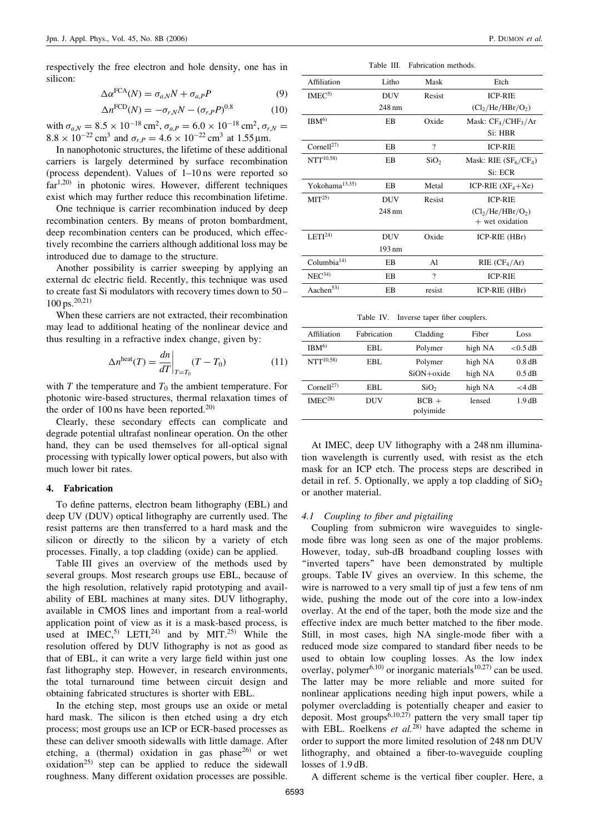respectively the free electron and hole density, one has in silicon:

$$
\Delta \alpha^{\text{FCA}}(N) = \sigma_{a,N} N + \sigma_{a,P} P \tag{9}
$$

$$
\Delta n^{\text{FCD}}(N) = -\sigma_{r,N}N - (\sigma_{r,P}P)^{0.8}
$$
 (10)

with  $\sigma_{a,N} = 8.5 \times 10^{-18}$  cm<sup>2</sup>,  $\sigma_{a,P} = 6.0 \times 10^{-18}$  cm<sup>2</sup>,  $\sigma_{r,N} =$  $8.8 \times 10^{-22}$  cm<sup>3</sup> and  $\sigma_{r,P} = 4.6 \times 10^{-22}$  cm<sup>3</sup> at 1.55 µm.

In nanophotonic structures, the lifetime of these additional carriers is largely determined by surface recombination (process dependent). Values of 1–10 ns were reported so far<sup>1,20)</sup> in photonic wires. However, different techniques exist which may further reduce this recombination lifetime.

One technique is carrier recombination induced by deep recombination centers. By means of proton bombardment, deep recombination centers can be produced, which effectively recombine the carriers although additional loss may be introduced due to damage to the structure.

Another possibility is carrier sweeping by applying an external dc electric field. Recently, this technique was used to create fast Si modulators with recovery times down to 50 –  $100 \text{ ps.}^{20,21)}$ 

When these carriers are not extracted, their recombination may lead to additional heating of the nonlinear device and thus resulting in a refractive index change, given by:

$$
\Delta n^{\text{heat}}(T) = \frac{dn}{dT}\bigg|_{T=T_0}(T - T_0) \tag{11}
$$

with T the temperature and  $T_0$  the ambient temperature. For photonic wire-based structures, thermal relaxation times of the order of  $100 \text{ ns}$  have been reported.<sup>20)</sup>

Clearly, these secondary effects can complicate and degrade potential ultrafast nonlinear operation. On the other hand, they can be used themselves for all-optical signal processing with typically lower optical powers, but also with much lower bit rates.

### 4. Fabrication

To define patterns, electron beam lithography (EBL) and deep UV (DUV) optical lithography are currently used. The resist patterns are then transferred to a hard mask and the silicon or directly to the silicon by a variety of etch processes. Finally, a top cladding (oxide) can be applied.

Table III gives an overview of the methods used by several groups. Most research groups use EBL, because of the high resolution, relatively rapid prototyping and availability of EBL machines at many sites. DUV lithography, available in CMOS lines and important from a real-world application point of view as it is a mask-based process, is used at IMEC,<sup>5)</sup> LETI,<sup>24)</sup> and by MIT.<sup>25)</sup> While the resolution offered by DUV lithography is not as good as that of EBL, it can write a very large field within just one fast lithography step. However, in research environments, the total turnaround time between circuit design and obtaining fabricated structures is shorter with EBL.

In the etching step, most groups use an oxide or metal hard mask. The silicon is then etched using a dry etch process; most groups use an ICP or ECR-based processes as these can deliver smooth sidewalls with little damage. After etching, a (thermal) oxidation in gas phase<sup>26)</sup> or wet oxidation<sup>25)</sup> step can be applied to reduce the sidewall roughness. Many different oxidation processes are possible.

Table III. Fabrication methods.

| Affiliation                | Litho            | Mask                     | Etch                                      |
|----------------------------|------------------|--------------------------|-------------------------------------------|
| IMEC <sup>5</sup>          | <b>DUV</b>       | Resist                   | <b>ICP-RIE</b>                            |
|                            | $248 \text{ nm}$ |                          | (Cl <sub>2</sub> /He/HBr/O <sub>2</sub> ) |
| IBM <sup>6</sup>           | EB               | Oxide                    | Mask: $CF_4/CHF_3/Ar$                     |
|                            |                  |                          | Si: HBR                                   |
| Cornell $^{27)}$           | EB               | $\overline{\mathcal{C}}$ | <b>ICP-RIE</b>                            |
| $NTT^{10,58}$              | EB               | SiO <sub>2</sub>         | Mask: RIE $(SF6/CF4)$                     |
|                            |                  |                          | Si: ECR                                   |
| Yokohama <sup>13,35)</sup> | EB               | Metal                    | ICP-RIE $(XF_4+Xe)$                       |
| MIT <sup>25</sup> )        | <b>DUV</b>       | Resist                   | <b>ICP-RIE</b>                            |
|                            | $248 \text{ nm}$ |                          | (Cl <sub>2</sub> /He/HBr/O <sub>2</sub> ) |
|                            |                  |                          | $+$ wet oxidation                         |
| LETI <sup>24</sup>         | <b>DUV</b>       | Oxide                    | ICP-RIE (HBr)                             |
|                            | 193 nm           |                          |                                           |
| Columbia $14$ )            | ΕB               | A1                       | RIE (CF <sub>4</sub> /Ar)                 |
| NEC <sup>34</sup>          | EB               | $\gamma$                 | <b>ICP-RIE</b>                            |
| Aachen <sup>53)</sup>      | EB               | resist                   | ICP-RIE (HBr)                             |

Table IV. Inverse taper fiber couplers.

| Affiliation            | Fabrication | Cladding             | Fiber   | Loss       |
|------------------------|-------------|----------------------|---------|------------|
| IBM <sup>6</sup>       | EBL.        | Polymer              | high NA | $<$ 0.5 dB |
| $NTT^{10,58}$          | EBL.        | Polymer              | high NA | 0.8 dB     |
|                        |             | $SiON + oxide$       | high NA | 0.5 dB     |
| Cornell <sup>27)</sup> | EBL.        | SiO <sub>2</sub>     | high NA | $<$ 4 dB   |
| IMEC <sup>28</sup>     | DUV         | $BCB +$<br>polyimide | lensed  | 1.9dB      |

At IMEC, deep UV lithography with a 248 nm illumination wavelength is currently used, with resist as the etch mask for an ICP etch. The process steps are described in detail in ref. 5. Optionally, we apply a top cladding of  $SiO<sub>2</sub>$ or another material.

# 4.1 Coupling to fiber and pigtailing

Coupling from submicron wire waveguides to singlemode fibre was long seen as one of the major problems. However, today, sub-dB broadband coupling losses with ''inverted tapers'' have been demonstrated by multiple groups. Table IV gives an overview. In this scheme, the wire is narrowed to a very small tip of just a few tens of nm wide, pushing the mode out of the core into a low-index overlay. At the end of the taper, both the mode size and the effective index are much better matched to the fiber mode. Still, in most cases, high NA single-mode fiber with a reduced mode size compared to standard fiber needs to be used to obtain low coupling losses. As the low index overlay, polymer<sup>6,10)</sup> or inorganic materials<sup>10,27)</sup> can be used. The latter may be more reliable and more suited for nonlinear applications needing high input powers, while a polymer overcladding is potentially cheaper and easier to deposit. Most groups<sup>6,10,27)</sup> pattern the very small taper tip with EBL. Roelkens et  $al^{(28)}$  have adapted the scheme in order to support the more limited resolution of 248 nm DUV lithography, and obtained a fiber-to-waveguide coupling losses of 1.9 dB.

A different scheme is the vertical fiber coupler. Here, a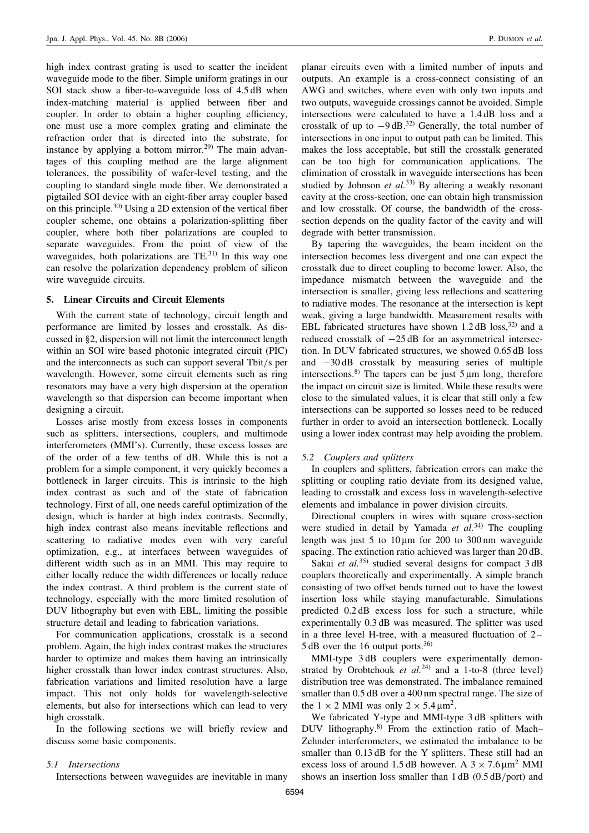high index contrast grating is used to scatter the incident waveguide mode to the fiber. Simple uniform gratings in our SOI stack show a fiber-to-waveguide loss of  $4.5$  dB when index-matching material is applied between fiber and coupler. In order to obtain a higher coupling efficiency, one must use a more complex grating and eliminate the refraction order that is directed into the substrate, for instance by applying a bottom mirror.<sup>29)</sup> The main advantages of this coupling method are the large alignment tolerances, the possibility of wafer-level testing, and the coupling to standard single mode fiber. We demonstrated a pigtailed SOI device with an eight-fiber array coupler based on this principle.30) Using a 2D extension of the vertical fiber coupler scheme, one obtains a polarization-splitting fiber coupler, where both fiber polarizations are coupled to separate waveguides. From the point of view of the waveguides, both polarizations are  $TE^{(31)}$  In this way one can resolve the polarization dependency problem of silicon wire waveguide circuits.

## 5. Linear Circuits and Circuit Elements

With the current state of technology, circuit length and performance are limited by losses and crosstalk. As discussed in §2, dispersion will not limit the interconnect length within an SOI wire based photonic integrated circuit (PIC) and the interconnects as such can support several Tbit/s per wavelength. However, some circuit elements such as ring resonators may have a very high dispersion at the operation wavelength so that dispersion can become important when designing a circuit.

Losses arise mostly from excess losses in components such as splitters, intersections, couplers, and multimode interferometers (MMI's). Currently, these excess losses are of the order of a few tenths of dB. While this is not a problem for a simple component, it very quickly becomes a bottleneck in larger circuits. This is intrinsic to the high index contrast as such and of the state of fabrication technology. First of all, one needs careful optimization of the design, which is harder at high index contrasts. Secondly, high index contrast also means inevitable reflections and scattering to radiative modes even with very careful optimization, e.g., at interfaces between waveguides of different width such as in an MMI. This may require to either locally reduce the width differences or locally reduce the index contrast. A third problem is the current state of technology, especially with the more limited resolution of DUV lithography but even with EBL, limiting the possible structure detail and leading to fabrication variations.

For communication applications, crosstalk is a second problem. Again, the high index contrast makes the structures harder to optimize and makes them having an intrinsically higher crosstalk than lower index contrast structures. Also, fabrication variations and limited resolution have a large impact. This not only holds for wavelength-selective elements, but also for intersections which can lead to very high crosstalk.

In the following sections we will briefly review and discuss some basic components.

# 5.1 Intersections

Intersections between waveguides are inevitable in many

planar circuits even with a limited number of inputs and outputs. An example is a cross-connect consisting of an AWG and switches, where even with only two inputs and two outputs, waveguide crossings cannot be avoided. Simple intersections were calculated to have a 1.4 dB loss and a crosstalk of up to  $-9$  dB.<sup>32)</sup> Generally, the total number of intersections in one input to output path can be limited. This makes the loss acceptable, but still the crosstalk generated can be too high for communication applications. The elimination of crosstalk in waveguide intersections has been studied by Johnson et  $al^{(33)}$  By altering a weakly resonant cavity at the cross-section, one can obtain high transmission and low crosstalk. Of course, the bandwidth of the crosssection depends on the quality factor of the cavity and will degrade with better transmission.

By tapering the waveguides, the beam incident on the intersection becomes less divergent and one can expect the crosstalk due to direct coupling to become lower. Also, the impedance mismatch between the waveguide and the intersection is smaller, giving less reflections and scattering to radiative modes. The resonance at the intersection is kept weak, giving a large bandwidth. Measurement results with EBL fabricated structures have shown  $1.2$  dB loss,<sup>32)</sup> and a reduced crosstalk of  $-25$  dB for an asymmetrical intersection. In DUV fabricated structures, we showed 0.65 dB loss and  $-30$  dB crosstalk by measuring series of multiple intersections.<sup>8)</sup> The tapers can be just  $5 \mu m$  long, therefore the impact on circuit size is limited. While these results were close to the simulated values, it is clear that still only a few intersections can be supported so losses need to be reduced further in order to avoid an intersection bottleneck. Locally using a lower index contrast may help avoiding the problem.

### 5.2 Couplers and splitters

In couplers and splitters, fabrication errors can make the splitting or coupling ratio deviate from its designed value, leading to crosstalk and excess loss in wavelength-selective elements and imbalance in power division circuits.

Directional couplers in wires with square cross-section were studied in detail by Yamada et  $al.^{34}$ . The coupling length was just 5 to  $10 \mu m$  for 200 to 300 nm waveguide spacing. The extinction ratio achieved was larger than 20 dB.

Sakai *et al.*<sup>35)</sup> studied several designs for compact  $3 dB$ couplers theoretically and experimentally. A simple branch consisting of two offset bends turned out to have the lowest insertion loss while staying manufacturable. Simulations predicted 0.2 dB excess loss for such a structure, while experimentally 0.3 dB was measured. The splitter was used in a three level H-tree, with a measured fluctuation of  $2-$ 5 dB over the 16 output ports.<sup>36)</sup>

MMI-type 3 dB couplers were experimentally demonstrated by Orobtchouk et  $al^{24)}$  and a 1-to-8 (three level) distribution tree was demonstrated. The imbalance remained smaller than  $0.5$  dB over a 400 nm spectral range. The size of the  $1 \times 2$  MMI was only  $2 \times 5.4 \,\mathrm{\mu m^2}$ .

We fabricated Y-type and MMI-type 3 dB splitters with DUV lithography.8) From the extinction ratio of Mach– Zehnder interferometers, we estimated the imbalance to be smaller than 0.13 dB for the Y splitters. These still had an excess loss of around 1.5 dB however. A  $3 \times 7.6 \,\mathrm{\upmu m^2}$  MMI shows an insertion loss smaller than 1 dB (0.5 dB/port) and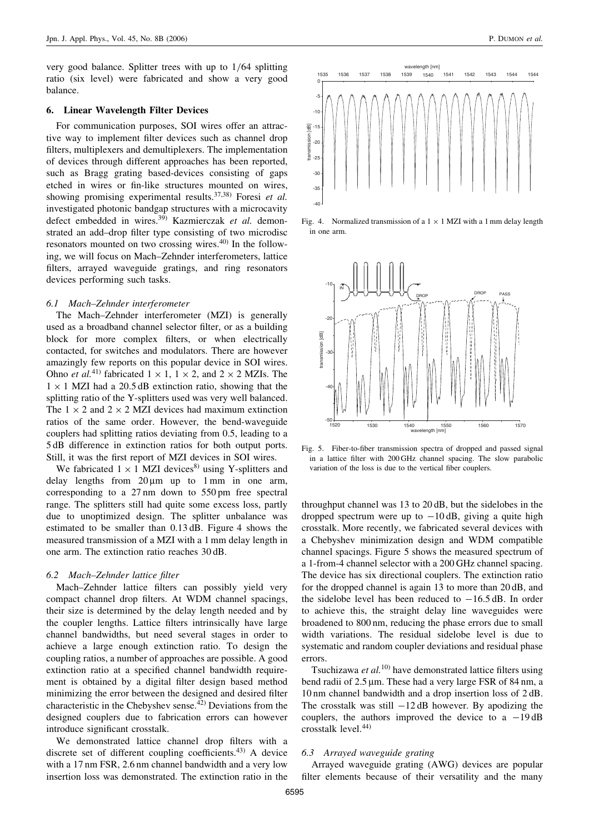very good balance. Splitter trees with up to 1/64 splitting ratio (six level) were fabricated and show a very good balance.

#### 6. Linear Wavelength Filter Devices

For communication purposes, SOI wires offer an attractive way to implement filter devices such as channel drop filters, multiplexers and demultiplexers. The implementation of devices through different approaches has been reported, such as Bragg grating based-devices consisting of gaps etched in wires or fin-like structures mounted on wires, showing promising experimental results.<sup>37,38)</sup> Foresi et al. investigated photonic bandgap structures with a microcavity defect embedded in wires.<sup>39)</sup> Kazmierczak et al. demonstrated an add–drop filter type consisting of two microdisc resonators mounted on two crossing wires.40) In the following, we will focus on Mach–Zehnder interferometers, lattice filters, arrayed waveguide gratings, and ring resonators devices performing such tasks.

#### 6.1 Mach–Zehnder interferometer

The Mach–Zehnder interferometer (MZI) is generally used as a broadband channel selector filter, or as a building block for more complex filters, or when electrically contacted, for switches and modulators. There are however amazingly few reports on this popular device in SOI wires. Ohno et al.<sup>41)</sup> fabricated  $1 \times 1$ ,  $1 \times 2$ , and  $2 \times 2$  MZIs. The  $1 \times 1$  MZI had a 20.5 dB extinction ratio, showing that the splitting ratio of the Y-splitters used was very well balanced. The  $1 \times 2$  and  $2 \times 2$  MZI devices had maximum extinction ratios of the same order. However, the bend-waveguide couplers had splitting ratios deviating from 0.5, leading to a 5 dB difference in extinction ratios for both output ports. Still, it was the first report of MZI devices in SOI wires.

We fabricated  $1 \times 1$  MZI devices<sup>8)</sup> using Y-splitters and delay lengths from  $20 \mu m$  up to 1 mm in one arm, corresponding to a 27 nm down to 550 pm free spectral range. The splitters still had quite some excess loss, partly due to unoptimized design. The splitter unbalance was estimated to be smaller than 0.13 dB. Figure 4 shows the measured transmission of a MZI with a 1 mm delay length in one arm. The extinction ratio reaches 30 dB.

## 6.2 Mach–Zehnder lattice filter

Mach–Zehnder lattice filters can possibly yield very compact channel drop filters. At WDM channel spacings, their size is determined by the delay length needed and by the coupler lengths. Lattice filters intrinsically have large channel bandwidths, but need several stages in order to achieve a large enough extinction ratio. To design the coupling ratios, a number of approaches are possible. A good extinction ratio at a specified channel bandwidth requirement is obtained by a digital filter design based method minimizing the error between the designed and desired filter characteristic in the Chebyshev sense.42) Deviations from the designed couplers due to fabrication errors can however introduce significant crosstalk.

We demonstrated lattice channel drop filters with a discrete set of different coupling coefficients.<sup>43)</sup> A device with a 17 nm FSR, 2.6 nm channel bandwidth and a very low insertion loss was demonstrated. The extinction ratio in the



Fig. 4. Normalized transmission of a  $1 \times 1$  MZI with a 1 mm delay length in one arm.



Fig. 5. Fiber-to-fiber transmission spectra of dropped and passed signal in a lattice filter with 200 GHz channel spacing. The slow parabolic variation of the loss is due to the vertical fiber couplers.

throughput channel was 13 to 20 dB, but the sidelobes in the dropped spectrum were up to  $-10$  dB, giving a quite high crosstalk. More recently, we fabricated several devices with a Chebyshev minimization design and WDM compatible channel spacings. Figure 5 shows the measured spectrum of a 1-from-4 channel selector with a 200 GHz channel spacing. The device has six directional couplers. The extinction ratio for the dropped channel is again 13 to more than 20 dB, and the sidelobe level has been reduced to  $-16.5$  dB. In order to achieve this, the straight delay line waveguides were broadened to 800 nm, reducing the phase errors due to small width variations. The residual sidelobe level is due to systematic and random coupler deviations and residual phase errors.

Tsuchizawa et  $al$ <sup>10)</sup> have demonstrated lattice filters using bend radii of 2.5 µm. These had a very large FSR of 84 nm, a 10 nm channel bandwidth and a drop insertion loss of 2 dB. The crosstalk was still  $-12$  dB however. By apodizing the couplers, the authors improved the device to a  $-19 \text{ dB}$ crosstalk level.44)

# 6.3 Arrayed waveguide grating

Arrayed waveguide grating (AWG) devices are popular filter elements because of their versatility and the many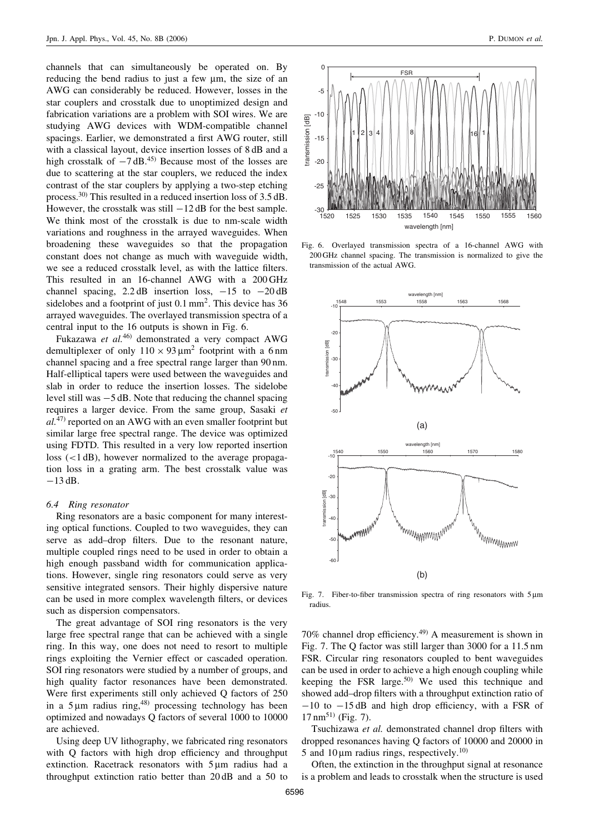channels that can simultaneously be operated on. By reducing the bend radius to just a few  $\mu$ m, the size of an AWG can considerably be reduced. However, losses in the star couplers and crosstalk due to unoptimized design and fabrication variations are a problem with SOI wires. We are studying AWG devices with WDM-compatible channel spacings. Earlier, we demonstrated a first AWG router, still with a classical layout, device insertion losses of 8 dB and a high crosstalk of  $-7$  dB.<sup>45)</sup> Because most of the losses are due to scattering at the star couplers, we reduced the index contrast of the star couplers by applying a two-step etching process.30) This resulted in a reduced insertion loss of 3.5 dB. However, the crosstalk was still  $-12$  dB for the best sample. We think most of the crosstalk is due to nm-scale width variations and roughness in the arrayed waveguides. When broadening these waveguides so that the propagation constant does not change as much with waveguide width, we see a reduced crosstalk level, as with the lattice filters. This resulted in an 16-channel AWG with a 200 GHz channel spacing, 2.2 dB insertion loss,  $-15$  to  $-20$  dB sidelobes and a footprint of just 0.1 mm<sup>2</sup>. This device has 36 arrayed waveguides. The overlayed transmission spectra of a central input to the 16 outputs is shown in Fig. 6.

Fukazawa et al.<sup>46)</sup> demonstrated a very compact AWG demultiplexer of only  $110 \times 93 \mu m^2$  footprint with a 6 nm channel spacing and a free spectral range larger than 90 nm. Half-elliptical tapers were used between the waveguides and slab in order to reduce the insertion losses. The sidelobe level still was  $-5$  dB. Note that reducing the channel spacing requires a larger device. From the same group, Sasaki et  $al^{(47)}$  reported on an AWG with an even smaller footprint but similar large free spectral range. The device was optimized using FDTD. This resulted in a very low reported insertion loss (<1 dB), however normalized to the average propagation loss in a grating arm. The best crosstalk value was  $-13$  dB.

#### 6.4 Ring resonator

Ring resonators are a basic component for many interesting optical functions. Coupled to two waveguides, they can serve as add–drop filters. Due to the resonant nature, multiple coupled rings need to be used in order to obtain a high enough passband width for communication applications. However, single ring resonators could serve as very sensitive integrated sensors. Their highly dispersive nature can be used in more complex wavelength filters, or devices such as dispersion compensators.

The great advantage of SOI ring resonators is the very large free spectral range that can be achieved with a single ring. In this way, one does not need to resort to multiple rings exploiting the Vernier effect or cascaded operation. SOI ring resonators were studied by a number of groups, and high quality factor resonances have been demonstrated. Were first experiments still only achieved Q factors of 250 in a  $5 \mu m$  radius ring,<sup>48)</sup> processing technology has been optimized and nowadays Q factors of several 1000 to 10000 are achieved.

Using deep UV lithography, we fabricated ring resonators with O factors with high drop efficiency and throughput extinction. Racetrack resonators with  $5 \mu m$  radius had a throughput extinction ratio better than 20 dB and a 50 to



Fig. 6. Overlayed transmission spectra of a 16-channel AWG with 200 GHz channel spacing. The transmission is normalized to give the transmission of the actual AWG.



Fig. 7. Fiber-to-fiber transmission spectra of ring resonators with 5 um radius.

70% channel drop efficiency.<sup>49)</sup> A measurement is shown in Fig. 7. The Q factor was still larger than 3000 for a 11.5 nm FSR. Circular ring resonators coupled to bent waveguides can be used in order to achieve a high enough coupling while keeping the FSR large.50) We used this technique and showed add–drop filters with a throughput extinction ratio of  $-10$  to  $-15$  dB and high drop efficiency, with a FSR of  $17 \text{ nm}^{51}$  (Fig. 7).

Tsuchizawa et al. demonstrated channel drop filters with dropped resonances having Q factors of 10000 and 20000 in 5 and 10  $\mu$ m radius rings, respectively.<sup>10)</sup>

Often, the extinction in the throughput signal at resonance is a problem and leads to crosstalk when the structure is used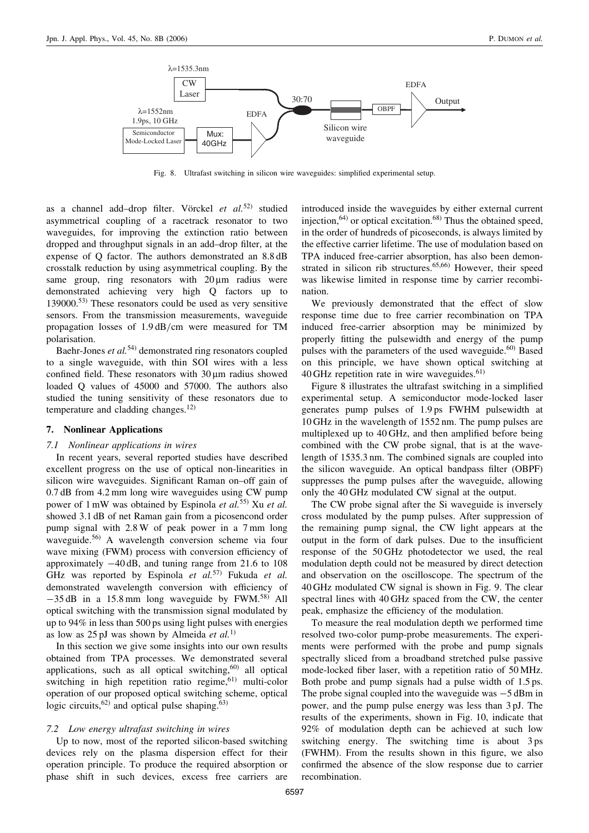

Fig. 8. Ultrafast switching in silicon wire waveguides: simplified experimental setup.

as a channel add–drop filter. Vörckel et  $al$ .<sup>52)</sup> studied asymmetrical coupling of a racetrack resonator to two waveguides, for improving the extinction ratio between dropped and throughput signals in an add–drop filter, at the expense of Q factor. The authors demonstrated an 8.8 dB crosstalk reduction by using asymmetrical coupling. By the same group, ring resonators with  $20 \mu m$  radius were demonstrated achieving very high Q factors up to 139000.<sup>53)</sup> These resonators could be used as very sensitive sensors. From the transmission measurements, waveguide propagation losses of 1.9 dB/cm were measured for TM polarisation.

Baehr-Jones  $et$   $al$ <sup>54)</sup> demonstrated ring resonators coupled to a single waveguide, with thin SOI wires with a less confined field. These resonators with  $30 \mu m$  radius showed loaded Q values of 45000 and 57000. The authors also studied the tuning sensitivity of these resonators due to temperature and cladding changes. $12$ )

### 7. Nonlinear Applications

#### 7.1 Nonlinear applications in wires

In recent years, several reported studies have described excellent progress on the use of optical non-linearities in silicon wire waveguides. Significant Raman on–off gain of 0.7 dB from 4.2 mm long wire waveguides using CW pump power of 1 mW was obtained by Espinola et al.<sup>55)</sup> Xu et al. showed 3.1 dB of net Raman gain from a picosencond order pump signal with 2.8 W of peak power in a 7 mm long waveguide.<sup>56)</sup> A wavelength conversion scheme via four wave mixing (FWM) process with conversion efficiency of approximately  $-40$  dB, and tuning range from 21.6 to 108 GHz was reported by Espinola et  $al.57$ <sup>57</sup>) Fukuda et al. demonstrated wavelength conversion with efficiency of  $-35$  dB in a 15.8 mm long waveguide by FWM.<sup>58)</sup> All optical switching with the transmission signal modulated by up to 94% in less than 500 ps using light pulses with energies as low as  $25 \text{ pJ}$  was shown by Almeida *et al.*<sup>1)</sup>

In this section we give some insights into our own results obtained from TPA processes. We demonstrated several applications, such as all optical switching, $60$  all optical switching in high repetition ratio regime,<sup>61)</sup> multi-color operation of our proposed optical switching scheme, optical logic circuits, $^{62)}$  and optical pulse shaping. $^{63)}$ 

# 7.2 Low energy ultrafast switching in wires

Up to now, most of the reported silicon-based switching devices rely on the plasma dispersion effect for their operation principle. To produce the required absorption or phase shift in such devices, excess free carriers are introduced inside the waveguides by either external current injection,  $64$ ) or optical excitation.  $68$ ) Thus the obtained speed, in the order of hundreds of picoseconds, is always limited by the effective carrier lifetime. The use of modulation based on TPA induced free-carrier absorption, has also been demonstrated in silicon rib structures.<sup>65,66)</sup> However, their speed was likewise limited in response time by carrier recombination.

We previously demonstrated that the effect of slow response time due to free carrier recombination on TPA induced free-carrier absorption may be minimized by properly fitting the pulsewidth and energy of the pump pulses with the parameters of the used waveguide.<sup>60)</sup> Based on this principle, we have shown optical switching at 40 GHz repetition rate in wire waveguides.<sup>61)</sup>

Figure 8 illustrates the ultrafast switching in a simplified experimental setup. A semiconductor mode-locked laser generates pump pulses of 1.9 ps FWHM pulsewidth at 10 GHz in the wavelength of 1552 nm. The pump pulses are multiplexed up to 40 GHz, and then amplified before being combined with the CW probe signal, that is at the wavelength of 1535.3 nm. The combined signals are coupled into the silicon waveguide. An optical bandpass filter (OBPF) suppresses the pump pulses after the waveguide, allowing only the 40 GHz modulated CW signal at the output.

The CW probe signal after the Si waveguide is inversely cross modulated by the pump pulses. After suppression of the remaining pump signal, the CW light appears at the output in the form of dark pulses. Due to the insufficient response of the 50 GHz photodetector we used, the real modulation depth could not be measured by direct detection and observation on the oscilloscope. The spectrum of the 40 GHz modulated CW signal is shown in Fig. 9. The clear spectral lines with 40 GHz spaced from the CW, the center peak, emphasize the efficiency of the modulation.

To measure the real modulation depth we performed time resolved two-color pump-probe measurements. The experiments were performed with the probe and pump signals spectrally sliced from a broadband stretched pulse passive mode-locked fiber laser, with a repetition ratio of 50 MHz. Both probe and pump signals had a pulse width of 1.5 ps. The probe signal coupled into the waveguide was  $-5$  dBm in power, and the pump pulse energy was less than 3 pJ. The results of the experiments, shown in Fig. 10, indicate that 92% of modulation depth can be achieved at such low switching energy. The switching time is about 3 ps (FWHM). From the results shown in this figure, we also confirmed the absence of the slow response due to carrier recombination.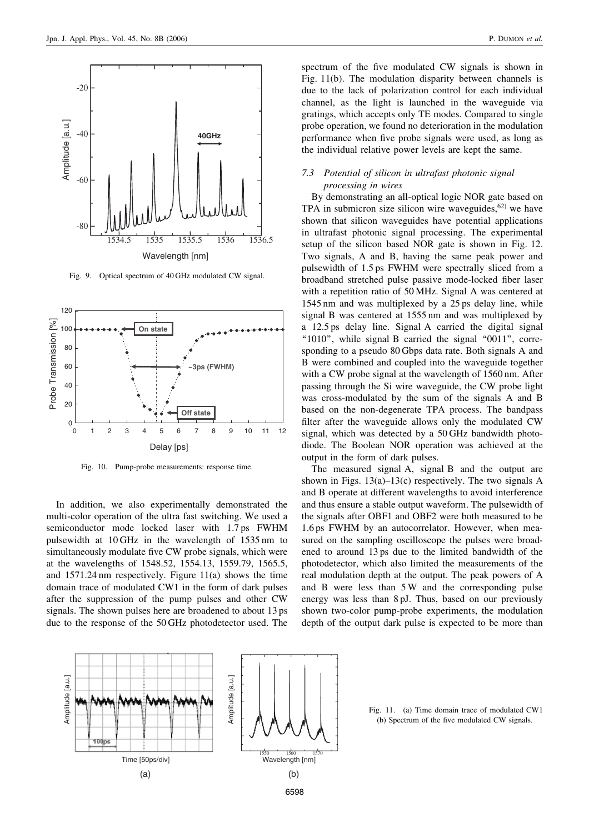

Fig. 9. Optical spectrum of 40 GHz modulated CW signal.



Fig. 10. Pump-probe measurements: response time.

In addition, we also experimentally demonstrated the multi-color operation of the ultra fast switching. We used a semiconductor mode locked laser with 1.7 ps FWHM pulsewidth at 10 GHz in the wavelength of 1535 nm to simultaneously modulate five CW probe signals, which were at the wavelengths of 1548.52, 1554.13, 1559.79, 1565.5, and 1571.24 nm respectively. Figure 11(a) shows the time domain trace of modulated CW1 in the form of dark pulses after the suppression of the pump pulses and other CW signals. The shown pulses here are broadened to about 13 ps due to the response of the 50 GHz photodetector used. The

spectrum of the five modulated CW signals is shown in Fig. 11(b). The modulation disparity between channels is due to the lack of polarization control for each individual channel, as the light is launched in the waveguide via gratings, which accepts only TE modes. Compared to single probe operation, we found no deterioration in the modulation performance when five probe signals were used, as long as the individual relative power levels are kept the same.

# 7.3 Potential of silicon in ultrafast photonic signal processing in wires

By demonstrating an all-optical logic NOR gate based on TPA in submicron size silicon wire waveguides, $62$  we have shown that silicon waveguides have potential applications in ultrafast photonic signal processing. The experimental setup of the silicon based NOR gate is shown in Fig. 12. Two signals, A and B, having the same peak power and pulsewidth of 1.5 ps FWHM were spectrally sliced from a broadband stretched pulse passive mode-locked fiber laser with a repetition ratio of 50 MHz. Signal A was centered at 1545 nm and was multiplexed by a 25 ps delay line, while signal B was centered at 1555 nm and was multiplexed by a 12.5 ps delay line. Signal A carried the digital signal "1010", while signal B carried the signal "0011", corresponding to a pseudo 80 Gbps data rate. Both signals A and B were combined and coupled into the waveguide together with a CW probe signal at the wavelength of 1560 nm. After passing through the Si wire waveguide, the CW probe light was cross-modulated by the sum of the signals A and B based on the non-degenerate TPA process. The bandpass filter after the waveguide allows only the modulated CW signal, which was detected by a 50 GHz bandwidth photodiode. The Boolean NOR operation was achieved at the output in the form of dark pulses.

The measured signal A, signal B and the output are shown in Figs.  $13(a) - 13(c)$  respectively. The two signals A and B operate at different wavelengths to avoid interference and thus ensure a stable output waveform. The pulsewidth of the signals after OBF1 and OBF2 were both measured to be 1.6 ps FWHM by an autocorrelator. However, when measured on the sampling oscilloscope the pulses were broadened to around 13 ps due to the limited bandwidth of the photodetector, which also limited the measurements of the real modulation depth at the output. The peak powers of A and B were less than 5 W and the corresponding pulse energy was less than 8 pJ. Thus, based on our previously shown two-color pump-probe experiments, the modulation depth of the output dark pulse is expected to be more than



Fig. 11. (a) Time domain trace of modulated CW1 (b) Spectrum of the five modulated CW signals.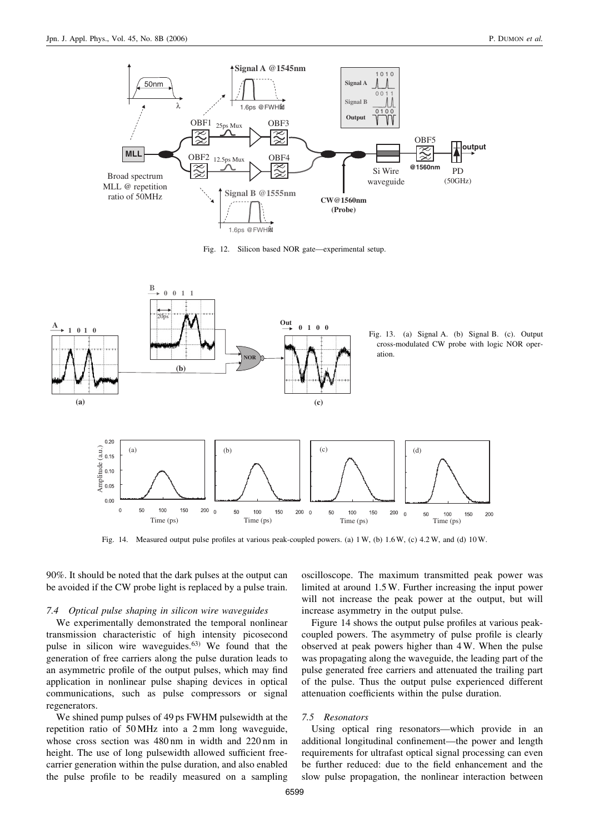

Fig. 12. Silicon based NOR gate—experimental setup.



Fig. 14. Measured output pulse profiles at various peak-coupled powers. (a) 1 W, (b) 1.6 W, (c) 4.2 W, and (d) 10 W.

90%. It should be noted that the dark pulses at the output can be avoided if the CW probe light is replaced by a pulse train.

#### 7.4 Optical pulse shaping in silicon wire waveguides

We experimentally demonstrated the temporal nonlinear transmission characteristic of high intensity picosecond pulse in silicon wire waveguides.<sup>63)</sup> We found that the generation of free carriers along the pulse duration leads to an asymmetric profile of the output pulses, which may find application in nonlinear pulse shaping devices in optical communications, such as pulse compressors or signal regenerators.

We shined pump pulses of 49 ps FWHM pulsewidth at the repetition ratio of 50 MHz into a 2 mm long waveguide, whose cross section was 480 nm in width and 220 nm in height. The use of long pulsewidth allowed sufficient freecarrier generation within the pulse duration, and also enabled the pulse profile to be readily measured on a sampling

oscilloscope. The maximum transmitted peak power was limited at around 1.5 W. Further increasing the input power will not increase the peak power at the output, but will increase asymmetry in the output pulse.

Figure 14 shows the output pulse profiles at various peakcoupled powers. The asymmetry of pulse profile is clearly observed at peak powers higher than 4 W. When the pulse was propagating along the waveguide, the leading part of the pulse generated free carriers and attenuated the trailing part of the pulse. Thus the output pulse experienced different attenuation coefficients within the pulse duration.

## 7.5 Resonators

Using optical ring resonators—which provide in an additional longitudinal confinement—the power and length requirements for ultrafast optical signal processing can even be further reduced: due to the field enhancement and the slow pulse propagation, the nonlinear interaction between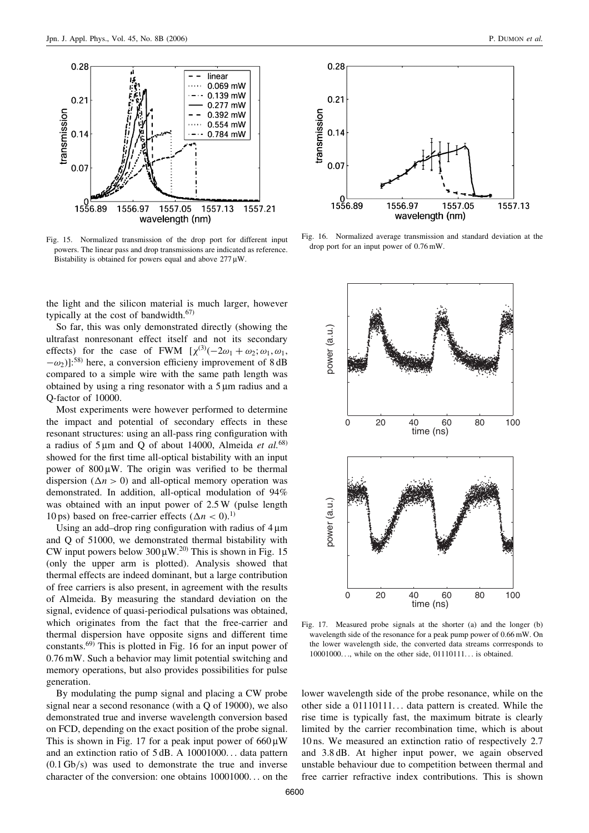

Fig. 15. Normalized transmission of the drop port for different input powers. The linear pass and drop transmissions are indicated as reference. Bistability is obtained for powers equal and above  $277 \mu W$ .

the light and the silicon material is much larger, however typically at the cost of bandwidth.<sup>67)</sup>

So far, this was only demonstrated directly (showing the ultrafast nonresonant effect itself and not its secondary effects) for the case of FWM  $[\chi^{(3)}(-2\omega_1 + \omega_2; \omega_1, \omega_1,$  $(-\omega_2)$ ]:<sup>58)</sup> here, a conversion efficieny improvement of 8 dB compared to a simple wire with the same path length was obtained by using a ring resonator with a  $5 \mu m$  radius and a Q-factor of 10000.

Most experiments were however performed to determine the impact and potential of secondary effects in these resonant structures: using an all-pass ring configuration with a radius of  $5 \mu m$  and Q of about 14000, Almeida et al.<sup>68)</sup> showed for the first time all-optical bistability with an input power of  $800 \mu W$ . The origin was verified to be thermal dispersion ( $\Delta n > 0$ ) and all-optical memory operation was demonstrated. In addition, all-optical modulation of 94% was obtained with an input power of 2.5 W (pulse length 10 ps) based on free-carrier effects ( $\Delta n < 0$ ).<sup>1)</sup>

Using an add–drop ring configuration with radius of  $4 \mu m$ and Q of 51000, we demonstrated thermal bistability with CW input powers below  $300 \mu W^{20}$ . This is shown in Fig. 15 (only the upper arm is plotted). Analysis showed that thermal effects are indeed dominant, but a large contribution of free carriers is also present, in agreement with the results of Almeida. By measuring the standard deviation on the signal, evidence of quasi-periodical pulsations was obtained, which originates from the fact that the free-carrier and thermal dispersion have opposite signs and different time constants.69) This is plotted in Fig. 16 for an input power of 0.76 mW. Such a behavior may limit potential switching and memory operations, but also provides possibilities for pulse generation.

By modulating the pump signal and placing a CW probe signal near a second resonance (with a Q of 19000), we also demonstrated true and inverse wavelength conversion based on FCD, depending on the exact position of the probe signal. This is shown in Fig. 17 for a peak input power of  $660 \mu W$ and an extinction ratio of 5 dB. A 10001000... data pattern (0.1 Gb/s) was used to demonstrate the true and inverse character of the conversion: one obtains 10001000... on the



Fig. 16. Normalized average transmission and standard deviation at the drop port for an input power of 0.76 mW.



Fig. 17. Measured probe signals at the shorter (a) and the longer (b) wavelength side of the resonance for a peak pump power of 0.66 mW. On the lower wavelength side, the converted data streams corrresponds to 10001000..., while on the other side, 01110111... is obtained.

lower wavelength side of the probe resonance, while on the other side a 01110111... data pattern is created. While the rise time is typically fast, the maximum bitrate is clearly limited by the carrier recombination time, which is about 10 ns. We measured an extinction ratio of respectively 2.7 and 3.8 dB. At higher input power, we again observed unstable behaviour due to competition between thermal and free carrier refractive index contributions. This is shown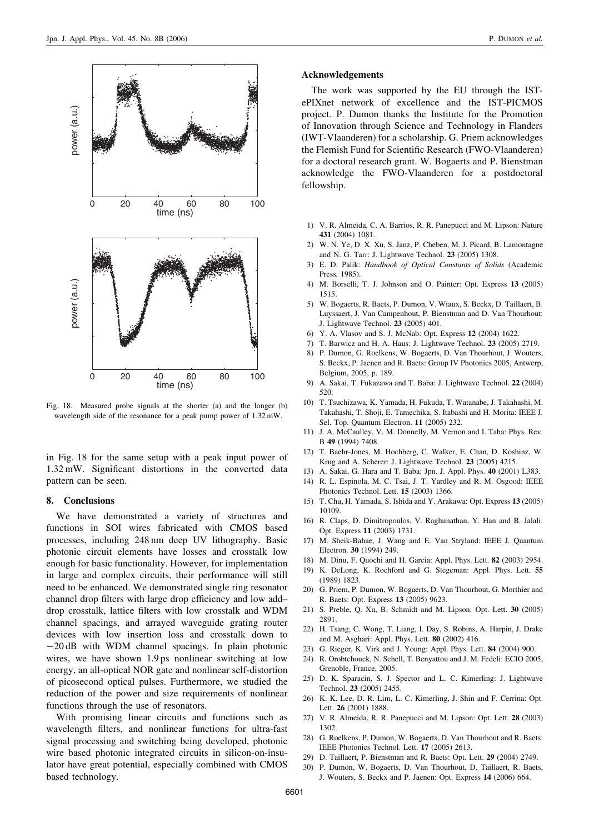

Fig. 18. Measured probe signals at the shorter (a) and the longer (b) wavelength side of the resonance for a peak pump power of 1.32 mW.

in Fig. 18 for the same setup with a peak input power of 1.32 mW. Significant distortions in the converted data pattern can be seen.

### 8. Conclusions

We have demonstrated a variety of structures and functions in SOI wires fabricated with CMOS based processes, including 248 nm deep UV lithography. Basic photonic circuit elements have losses and crosstalk low enough for basic functionality. However, for implementation in large and complex circuits, their performance will still need to be enhanced. We demonstrated single ring resonator channel drop filters with large drop efficiency and low add– drop crosstalk, lattice filters with low crosstalk and WDM channel spacings, and arrayed waveguide grating router devices with low insertion loss and crosstalk down to  $-20$  dB with WDM channel spacings. In plain photonic wires, we have shown 1.9 ps nonlinear switching at low energy, an all-optical NOR gate and nonlinear self-distortion of picosecond optical pulses. Furthermore, we studied the reduction of the power and size requirements of nonlinear functions through the use of resonators.

With promising linear circuits and functions such as wavelength filters, and nonlinear functions for ultra-fast signal processing and switching being developed, photonic wire based photonic integrated circuits in silicon-on-insulator have great potential, especially combined with CMOS based technology.

#### Acknowledgements

The work was supported by the EU through the ISTePIXnet network of excellence and the IST-PICMOS project. P. Dumon thanks the Institute for the Promotion of Innovation through Science and Technology in Flanders (IWT-Vlaanderen) for a scholarship. G. Priem acknowledges the Flemish Fund for Scientific Research (FWO-Vlaanderen) for a doctoral research grant. W. Bogaerts and P. Bienstman acknowledge the FWO-Vlaanderen for a postdoctoral fellowship.

- 1) V. R. Almeida, C. A. Barrios, R. R. Panepucci and M. Lipson: Nature 431 (2004) 1081.
- 2) W. N. Ye, D. X. Xu, S. Janz, P. Cheben, M. J. Picard, B. Lamontagne and N. G. Tarr: J. Lightwave Technol. 23 (2005) 1308.
- 3) E. D. Palik: Handbook of Optical Constants of Solids (Academic Press, 1985).
- 4) M. Borselli, T. J. Johnson and O. Painter: Opt. Express 13 (2005) 1515.
- 5) W. Bogaerts, R. Baets, P. Dumon, V. Wiaux, S. Beckx, D. Taillaert, B. Luyssaert, J. Van Campenhout, P. Bienstman and D. Van Thourhout: J. Lightwave Technol. 23 (2005) 401.
- 6) Y. A. Vlasov and S. J. McNab: Opt. Express 12 (2004) 1622.
- 7) T. Barwicz and H. A. Haus: J. Lightwave Technol. 23 (2005) 2719.
- 8) P. Dumon, G. Roelkens, W. Bogaerts, D. Van Thourhout, J. Wouters, S. Beckx, P. Jaenen and R. Baets: Group IV Photonics 2005, Antwerp, Belgium, 2005, p. 189.
- 9) A. Sakai, T. Fukazawa and T. Baba: J. Lightwave Technol. 22 (2004) 520.
- 10) T. Tsuchizawa, K. Yamada, H. Fukuda, T. Watanabe, J. Takahashi, M. Takahashi, T. Shoji, E. Tamechika, S. Itabashi and H. Morita: IEEE J. Sel. Top. Quantum Electron. 11 (2005) 232.
- 11) J. A. McCaulley, V. M. Donnelly, M. Vernon and I. Taha: Phys. Rev. B 49 (1994) 7408.
- 12) T. Baehr-Jones, M. Hochberg, C. Walker, E. Chan, D. Koshinz, W. Krug and A. Scherer: J. Lightwave Technol. 23 (2005) 4215.
- 13) A. Sakai, G. Hara and T. Baba: Jpn. J. Appl. Phys. 40 (2001) L383.
- 14) R. L. Espinola, M. C. Tsai, J. T. Yardley and R. M. Osgood: IEEE Photonics Technol. Lett. 15 (2003) 1366.
- 15) T. Chu, H. Yamada, S. Ishida and Y. Arakawa: Opt. Express 13 (2005) 10109.
- 16) R. Claps, D. Dimitropoulos, V. Raghunathan, Y. Han and B. Jalali: Opt. Express 11 (2003) 1731.
- 17) M. Sheik-Bahae, J. Wang and E. Van Stryland: IEEE J. Quantum Electron. 30 (1994) 249.
- 18) M. Dinu, F. Quochi and H. Garcia: Appl. Phys. Lett. 82 (2003) 2954.
- 19) K. DeLong, K. Rochford and G. Stegeman: Appl. Phys. Lett. 55 (1989) 1823.
- 20) G. Priem, P. Dumon, W. Bogaerts, D. Van Thourhout, G. Morthier and R. Baets: Opt. Express 13 (2005) 9623.
- 21) S. Preble, Q. Xu, B. Schmidt and M. Lipson: Opt. Lett. 30 (2005) 2891.
- 22) H. Tsang, C. Wong, T. Liang, I. Day, S. Robins, A. Harpin, J. Drake and M. Asghari: Appl. Phys. Lett. 80 (2002) 416.
- 23) G. Rieger, K. Virk and J. Young: Appl. Phys. Lett. 84 (2004) 900.
- 24) R. Orobtchouck, N. Schell, T. Benyattou and J. M. Fedeli: ECIO 2005, Grenoble, France, 2005.
- 25) D. K. Sparacin, S. J. Spector and L. C. Kimerling: J. Lightwave Technol. 23 (2005) 2455.
- 26) K. K. Lee, D. R. Lim, L. C. Kimerling, J. Shin and F. Cerrina: Opt. Lett. 26 (2001) 1888.
- 27) V. R. Almeida, R. R. Panepucci and M. Lipson: Opt. Lett. 28 (2003) 1302.
- 28) G. Roelkens, P. Dumon, W. Bogaerts, D. Van Thourhout and R. Baets: IEEE Photonics Technol. Lett. 17 (2005) 2613.
- 29) D. Taillaert, P. Bienstman and R. Baets: Opt. Lett. 29 (2004) 2749.
- 30) P. Dumon, W. Bogaerts, D. Van Thourhout, D. Taillaert, R. Baets, J. Wouters, S. Beckx and P. Jaenen: Opt. Express 14 (2006) 664.